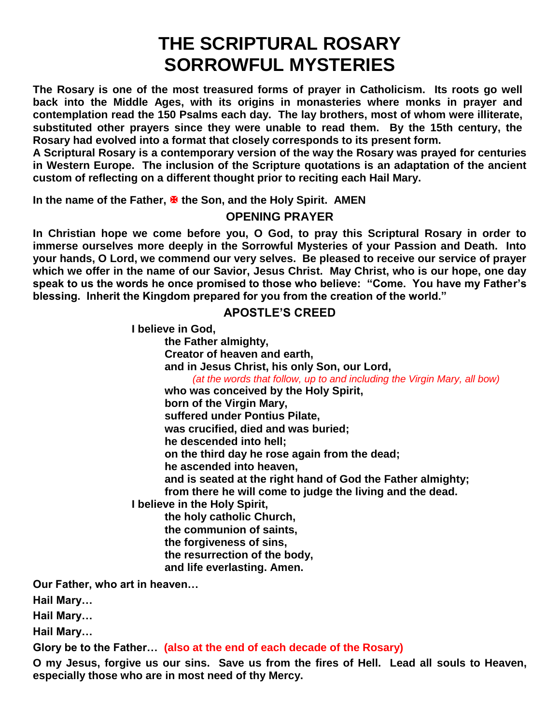# **THE SCRIPTURAL ROSARY SORROWFUL MYSTERIES**

**The Rosary is one of the most treasured forms of prayer in Catholicism. Its roots go well back into the Middle Ages, with its origins in monasteries where monks in prayer and contemplation read the 150 Psalms each day. The lay brothers, most of whom were illiterate, substituted other prayers since they were unable to read them. By the 15th century, the Rosary had evolved into a format that closely corresponds to its present form.**

**A Scriptural Rosary is a contemporary version of the way the Rosary was prayed for centuries in Western Europe. The inclusion of the Scripture quotations is an adaptation of the ancient custom of reflecting on a different thought prior to reciting each Hail Mary.**

**In the name of the Father, <sup>★</sup> the Son, and the Holy Spirit. AMEN** 

**OPENING PRAYER**

**In Christian hope we come before you, O God, to pray this Scriptural Rosary in order to immerse ourselves more deeply in the Sorrowful Mysteries of your Passion and Death. Into your hands, O Lord, we commend our very selves. Be pleased to receive our service of prayer which we offer in the name of our Savior, Jesus Christ. May Christ, who is our hope, one day speak to us the words he once promised to those who believe: "Come. You have my Father's blessing. Inherit the Kingdom prepared for you from the creation of the world."**

#### **APOSTLE'S CREED**

**I believe in God,**

**the Father almighty, Creator of heaven and earth, and in Jesus Christ, his only Son, our Lord,**  *(at the words that follow, up to and including the Virgin Mary, all bow)* **who was conceived by the Holy Spirit, born of the Virgin Mary, suffered under Pontius Pilate, was crucified, died and was buried; he descended into hell; on the third day he rose again from the dead; he ascended into heaven, and is seated at the right hand of God the Father almighty; from there he will come to judge the living and the dead. I believe in the Holy Spirit, the holy catholic Church, the communion of saints,**

**the forgiveness of sins,**

**the resurrection of the body,**

**and life everlasting. Amen.**

**Our Father, who art in heaven…**

**Hail Mary…**

**Hail Mary…**

**Hail Mary…**

**Glory be to the Father… (also at the end of each decade of the Rosary)**

**O my Jesus, forgive us our sins. Save us from the fires of Hell. Lead all souls to Heaven, especially those who are in most need of thy Mercy.**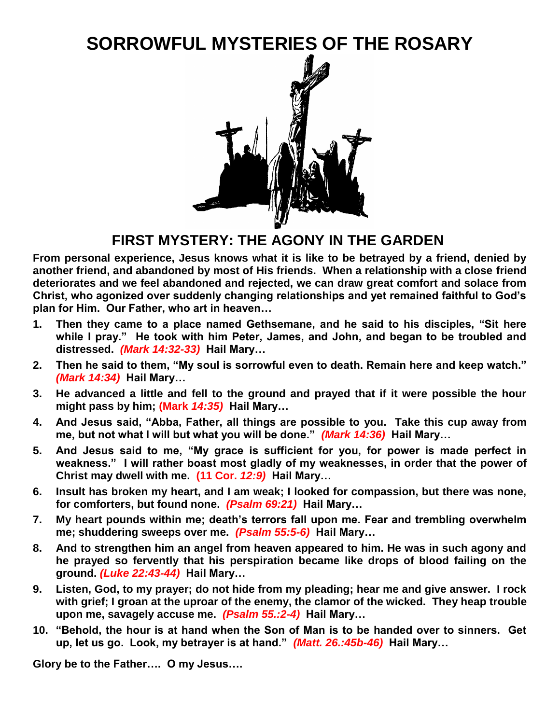# **SORROWFUL MYSTERIES OF THE ROSARY**



### **FIRST MYSTERY: THE AGONY IN THE GARDEN**

**From personal experience, Jesus knows what it is like to be betrayed by a friend, denied by another friend, and abandoned by most of His friends. When a relationship with a close friend deteriorates and we feel abandoned and rejected, we can draw great comfort and solace from Christ, who agonized over suddenly changing relationships and yet remained faithful to God's plan for Him. Our Father, who art in heaven…**

- **1. Then they came to a place named Gethsemane, and he said to his disciples, "Sit here while I pray." He took with him Peter, James, and John, and began to be troubled and distressed.** *(Mark 14:32-33)* **Hail Mary…**
- **2. Then he said to them, "My soul is sorrowful even to death. Remain here and keep watch."**  *(Mark 14:34)* **Hail Mary…**
- **3. He advanced a little and fell to the ground and prayed that if it were possible the hour might pass by him; (Mark** *14:35)* **Hail Mary…**
- **4. And Jesus said, "Abba, Father, all things are possible to you. Take this cup away from me, but not what I will but what you will be done."** *(Mark 14:36)* **Hail Mary…**
- **5. And Jesus said to me, "My grace is sufficient for you, for power is made perfect in weakness." I will rather boast most gladly of my weaknesses, in order that the power of Christ may dwell with me. (11 Cor.** *12:9)* **Hail Mary…**
- **6. Insult has broken my heart, and I am weak; I looked for compassion, but there was none, for comforters, but found none.** *(Psalm 69:21)* **Hail Mary…**
- **7. My heart pounds within me; death's terrors fall upon me. Fear and trembling overwhelm me; shuddering sweeps over me.** *(Psalm 55:5-6)* **Hail Mary…**
- **8. And to strengthen him an angel from heaven appeared to him. He was in such agony and he prayed so fervently that his perspiration became like drops of blood failing on the ground.** *(Luke 22:43-44)* **Hail Mary…**
- **9. Listen, God, to my prayer; do not hide from my pleading; hear me and give answer. I rock with grief; I groan at the uproar of the enemy, the clamor of the wicked. They heap trouble upon me, savagely accuse me.** *(Psalm 55.:2-4)* **Hail Mary…**
- **10. "Behold, the hour is at hand when the Son of Man is to be handed over to sinners. Get up, let us go. Look, my betrayer is at hand."** *(Matt. 26.:45b-46)* **Hail Mary…**

**Glory be to the Father…. O my Jesus….**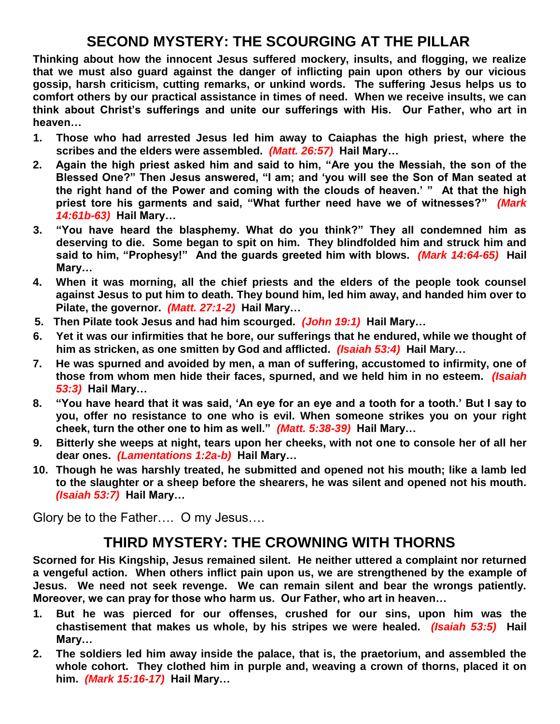### **SECOND MYSTERY: THE SCOURGING AT THE PILLAR**

**Thinking about how the innocent Jesus suffered mockery, insults, and flogging, we realize that we must also guard against the danger of inflicting pain upon others by our vicious gossip, harsh criticism, cutting remarks, or unkind words. The suffering Jesus helps us to comfort others by our practical assistance in times of need. When we receive insults, we can think about Christ's sufferings and unite our sufferings with His. Our Father, who art in heaven…**

- **1. Those who had arrested Jesus led him away to Caiaphas the high priest, where the scribes and the elders were assembled.** *(Matt. 26:57)* **Hail Mary…**
- **2. Again the high priest asked him and said to him, "Are you the Messiah, the son of the Blessed One?" Then Jesus answered, "I am; and 'you will see the Son of Man seated at the right hand of the Power and coming with the clouds of heaven.' " At that the high priest tore his garments and said, "What further need have we of witnesses?"** *(Mark 14:61b-63)* **Hail Mary…**
- **3. "You have heard the blasphemy. What do you think?" They all condemned him as deserving to die. Some began to spit on him. They blindfolded him and struck him and said to him, "Prophesy!" And the guards greeted him with blows.** *(Mark 14:64-65)* **Hail Mary…**
- **4. When it was morning, all the chief priests and the elders of the people took counsel against Jesus to put him to death. They bound him, led him away, and handed him over to Pilate, the governor.** *(Matt. 27:1-2)* **Hail Mary…**
- **5. Then Pilate took Jesus and had him scourged.** *(John 19:1)* **Hail Mary…**
- **6. Yet it was our infirmities that he bore, our sufferings that he endured, while we thought of him as stricken, as one smitten by God and afflicted.** *(Isaiah 53:4)* **Hail Mary…**
- **7. He was spurned and avoided by men, a man of suffering, accustomed to infirmity, one of those from whom men hide their faces, spurned, and we held him in no esteem.** *(Isaiah 53:3)* **Hail Mary…**
- **8. "You have heard that it was said, 'An eye for an eye and a tooth for a tooth.' But I say to you, offer no resistance to one who is evil. When someone strikes you on your right cheek, turn the other one to him as well."** *(Matt. 5:38-39)* **Hail Mary…**
- **9. Bitterly she weeps at night, tears upon her cheeks, with not one to console her of all her dear ones.** *(Lamentations 1:2a-b)* **Hail Mary…**
- **10. Though he was harshly treated, he submitted and opened not his mouth; like a lamb led to the slaughter or a sheep before the shearers, he was silent and opened not his mouth.**  *(Isaiah 53:7)* **Hail Mary…**

Glory be to the Father…. O my Jesus….

### **THIRD MYSTERY: THE CROWNING WITH THORNS**

**Scorned for His Kingship, Jesus remained silent. He neither uttered a complaint nor returned a vengeful action. When others inflict pain upon us, we are strengthened by the example of Jesus. We need not seek revenge. We can remain silent and bear the wrongs patiently. Moreover, we can pray for those who harm us. Our Father, who art in heaven…**

- **1. But he was pierced for our offenses, crushed for our sins, upon him was the chastisement that makes us whole, by his stripes we were healed.** *(Isaiah 53:5)* **Hail Mary…**
- **2. The soldiers led him away inside the palace, that is, the praetorium, and assembled the whole cohort. They clothed him in purple and, weaving a crown of thorns, placed it on him.** *(Mark 15:16-17)* **Hail Mary…**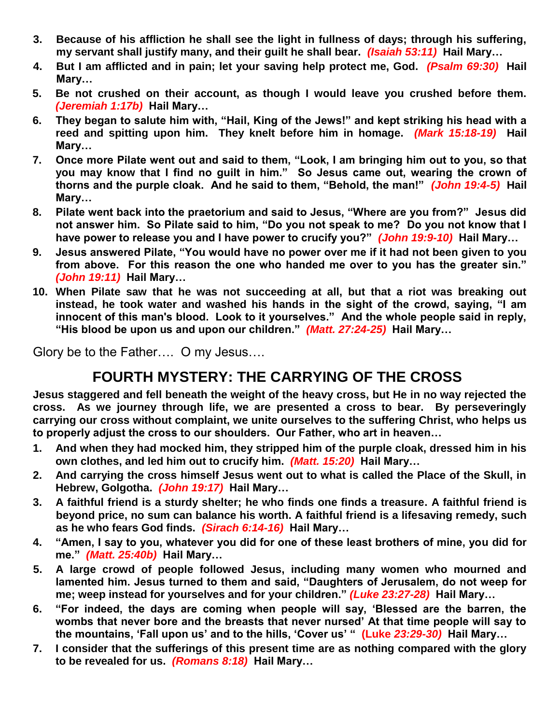- **3. Because of his affliction he shall see the light in fullness of days; through his suffering, my servant shall justify many, and their guilt he shall bear.** *(Isaiah 53:11)* **Hail Mary…**
- **4. But I am afflicted and in pain; let your saving help protect me, God.** *(Psalm 69:30)* **Hail Mary…**
- **5. Be not crushed on their account, as though I would leave you crushed before them.**  *(Jeremiah 1:17b)* **Hail Mary…**
- **6. They began to salute him with, "Hail, King of the Jews!" and kept striking his head with a reed and spitting upon him. They knelt before him in homage.** *(Mark 15:18-19)* **Hail Mary…**
- **7. Once more Pilate went out and said to them, "Look, I am bringing him out to you, so that you may know that I find no guilt in him." So Jesus came out, wearing the crown of thorns and the purple cloak. And he said to them, "Behold, the man!"** *(John 19:4-5)* **Hail Mary…**
- **8. Pilate went back into the praetorium and said to Jesus, "Where are you from?" Jesus did not answer him. So Pilate said to him, "Do you not speak to me? Do you not know that I have power to release you and I have power to crucify you?"** *(John 19:9-10)* **Hail Mary…**
- **9. Jesus answered Pilate, "You would have no power over me if it had not been given to you from above. For this reason the one who handed me over to you has the greater sin."**  *(John 19:11)* **Hail Mary…**
- **10. When Pilate saw that he was not succeeding at all, but that a riot was breaking out instead, he took water and washed his hands in the sight of the crowd, saying, "I am innocent of this man's blood. Look to it yourselves." And the whole people said in reply, "His blood be upon us and upon our children."** *(Matt. 27:24-25)* **Hail Mary…**

Glory be to the Father…. O my Jesus….

## **FOURTH MYSTERY: THE CARRYING OF THE CROSS**

**Jesus staggered and fell beneath the weight of the heavy cross, but He in no way rejected the cross. As we journey through life, we are presented a cross to bear. By perseveringly carrying our cross without complaint, we unite ourselves to the suffering Christ, who helps us to properly adjust the cross to our shoulders. Our Father, who art in heaven…**

- **1. And when they had mocked him, they stripped him of the purple cloak, dressed him in his own clothes, and led him out to crucify him.** *(Matt. 15:20)* **Hail Mary…**
- **2. And carrying the cross himself Jesus went out to what is called the Place of the Skull, in Hebrew, Golgotha.** *(John 19:17)* **Hail Mary…**
- **3. A faithful friend is a sturdy shelter; he who finds one finds a treasure. A faithful friend is beyond price, no sum can balance his worth. A faithful friend is a lifesaving remedy, such as he who fears God finds.** *(Sirach 6:14-16)* **Hail Mary…**
- **4. "Amen, I say to you, whatever you did for one of these least brothers of mine, you did for me."** *(Matt. 25:40b)* **Hail Mary…**
- **5. A large crowd of people followed Jesus, including many women who mourned and lamented him. Jesus turned to them and said, "Daughters of Jerusalem, do not weep for me; weep instead for yourselves and for your children."** *(Luke 23:27-28)* **Hail Mary…**
- **6. "For indeed, the days are coming when people will say, 'Blessed are the barren, the wombs that never bore and the breasts that never nursed' At that time people will say to the mountains, 'Fall upon us' and to the hills, 'Cover us' " (Luke** *23:29-30)* **Hail Mary…**
- **7. I consider that the sufferings of this present time are as nothing compared with the glory to be revealed for us.** *(Romans 8:18)* **Hail Mary…**